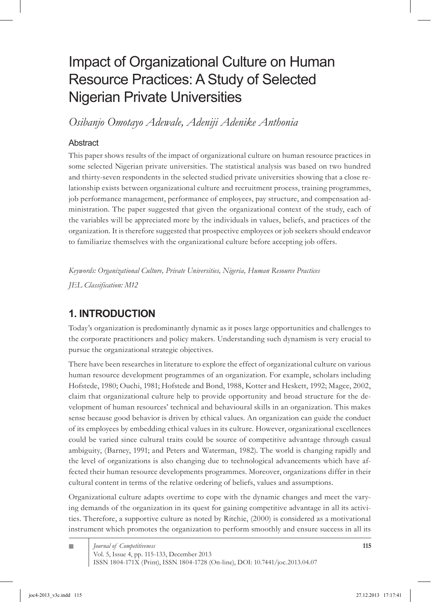# Impact of Organizational Culture on Human Resource Practices: A Study of Selected Nigerian Private Universities

*Osibanjo Omotayo Adewale, Adeniji Adenike Anthonia*

# **Abstract**

This paper shows results of the impact of organizational culture on human resource practices in some selected Nigerian private universities. The statistical analysis was based on two hundred and thirty-seven respondents in the selected studied private universities showing that a close relationship exists between organizational culture and recruitment process, training programmes, job performance management, performance of employees, pay structure, and compensation administration. The paper suggested that given the organizational context of the study, each of the variables will be appreciated more by the individuals in values, beliefs, and practices of the organization. It is therefore suggested that prospective employees or job seekers should endeavor to familiarize themselves with the organizational culture before accepting job offers.

*Keywords: Organizational Culture, Private Universities, Nigeria, Human Resource Practices JEL Classification: M12*

# **1. INTRODUCTION**

Today's organization is predominantly dynamic as it poses large opportunities and challenges to the corporate practitioners and policy makers. Understanding such dynamism is very crucial to pursue the organizational strategic objectives.

There have been researches in literature to explore the effect of organizational culture on various human resource development programmes of an organization. For example, scholars including Hofstede, 1980; Ouchi, 1981; Hofstede and Bond, 1988, Kotter and Heskett, 1992; Magee, 2002, claim that organizational culture help to provide opportunity and broad structure for the development of human resources' technical and behavioural skills in an organization. This makes sense because good behavior is driven by ethical values. An organization can guide the conduct of its employees by embedding ethical values in its culture. However, organizational excellences could be varied since cultural traits could be source of competitive advantage through casual ambiguity, (Barney, 1991; and Peters and Waterman, 1982). The world is changing rapidly and the level of organizations is also changing due to technological advancements which have affected their human resource developments programmes. Moreover, organizations differ in their cultural content in terms of the relative ordering of beliefs, values and assumptions.

Organizational culture adapts overtime to cope with the dynamic changes and meet the varying demands of the organization in its quest for gaining competitive advantage in all its activities. Therefore, a supportive culture as noted by Ritchie, (2000) is considered as a motivational instrument which promotes the organization to perform smoothly and ensure success in all its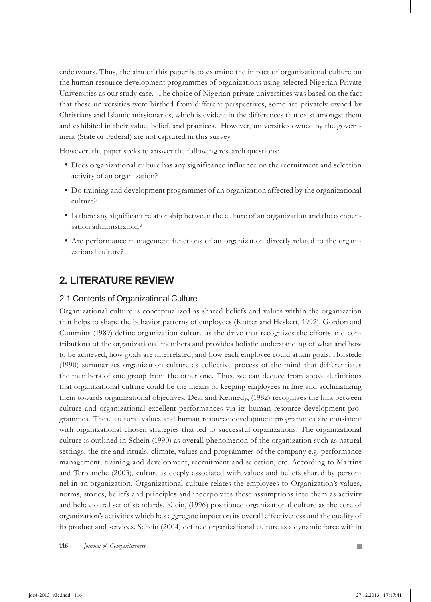endeavours. Thus, the aim of this paper is to examine the impact of organizational culture on the human resource development programmes of organizations using selected Nigerian Private Universities as our study case. The choice of Nigerian private universities was based on the fact that these universities were birthed from different perspectives, some are privately owned by Christians and Islamic missionaries, which is evident in the differences that exist amongst them and exhibited in their value, belief, and practices. However, universities owned by the government (State or Federal) are not captured in this survey.

However, the paper seeks to answer the following research questions:

- Does organizational culture has any significance influence on the recruitment and selection activity of an organization?
- Do training and development programmes of an organization affected by the organizational culture?
- Is there any significant relationship between the culture of an organization and the compen sation administration?
- Are performance management functions of an organization directly related to the organi zational culture?

# **2. LITERATURE REVIEW**

## 2.1 Contents of Organizational Culture

Organizational culture is conceptualized as shared beliefs and values within the organization that helps to shape the behavior patterns of employees (Kotter and Heskett, 1992). Gordon and Cummins (1989) define organization culture as the drive that recognizes the efforts and contributions of the organizational members and provides holistic understanding of what and how to be achieved, how goals are interrelated, and how each employee could attain goals. Hofstede (1990) summarizes organization culture as collective process of the mind that differentiates the members of one group from the other one. Thus, we can deduce from above definitions that organizational culture could be the means of keeping employees in line and acclimatizing them towards organizational objectives. Deal and Kennedy, (1982) recognizes the link between culture and organizational excellent performances via its human resource development programmes. These cultural values and human resource development programmes are consistent with organizational chosen strategies that led to successful organizations. The organizational culture is outlined in Schein (1990) as overall phenomenon of the organization such as natural settings, the rite and rituals, climate, values and programmes of the company e.g. performance management, training and development, recruitment and selection, etc. According to Martins and Terblanche (2003), culture is deeply associated with values and beliefs shared by personnel in an organization. Organizational culture relates the employees to Organization's values, norms, stories, beliefs and principles and incorporates these assumptions into them as activity and behavioural set of standards. Klein, (1996) positioned organizational culture as the core of organization's activities which has aggregate impact on its overall effectiveness and the quality of its product and services. Schein (2004) defined organizational culture as a dynamic force within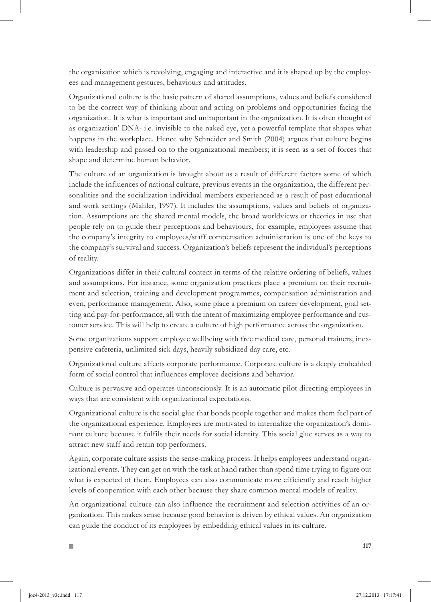the organization which is revolving, engaging and interactive and it is shaped up by the employees and management gestures, behaviours and attitudes.

Organizational culture is the basic pattern of shared assumptions, values and beliefs considered to be the correct way of thinking about and acting on problems and opportunities facing the organization. It is what is important and unimportant in the organization. It is often thought of as organization' DNA- i.e. invisible to the naked eye, yet a powerful template that shapes what happens in the workplace. Hence why Schneider and Smith (2004) argues that culture begins with leadership and passed on to the organizational members; it is seen as a set of forces that shape and determine human behavior.

The culture of an organization is brought about as a result of different factors some of which include the influences of national culture, previous events in the organization, the different personalities and the socialization individual members experienced as a result of past educational and work settings (Mahler, 1997). It includes the assumptions, values and beliefs of organization. Assumptions are the shared mental models, the broad worldviews or theories in use that people rely on to guide their perceptions and behaviours, for example, employees assume that the company's integrity to employees/staff compensation administration is one of the keys to the company's survival and success. Organization's beliefs represent the individual's perceptions of reality.

Organizations differ in their cultural content in terms of the relative ordering of beliefs, values and assumptions. For instance, some organization practices place a premium on their recruitment and selection, training and development programmes, compensation administration and even, performance management. Also, some place a premium on career development, goal setting and pay-for-performance, all with the intent of maximizing employee performance and customer service. This will help to create a culture of high performance across the organization.

Some organizations support employee wellbeing with free medical care, personal trainers, inexpensive cafeteria, unlimited sick days, heavily subsidized day care, etc.

Organizational culture affects corporate performance. Corporate culture is a deeply embedded form of social control that influences employee decisions and behavior.

Culture is pervasive and operates unconsciously. It is an automatic pilot directing employees in ways that are consistent with organizational expectations.

Organizational culture is the social glue that bonds people together and makes them feel part of the organizational experience. Employees are motivated to internalize the organization's dominant culture because it fulfils their needs for social identity. This social glue serves as a way to attract new staff and retain top performers.

Again, corporate culture assists the sense-making process. It helps employees understand organizational events. They can get on with the task at hand rather than spend time trying to figure out what is expected of them. Employees can also communicate more efficiently and reach higher levels of cooperation with each other because they share common mental models of reality.

An organizational culture can also influence the recruitment and selection activities of an organization. This makes sense because good behavior is driven by ethical values. An organization can guide the conduct of its employees by embedding ethical values in its culture.

m.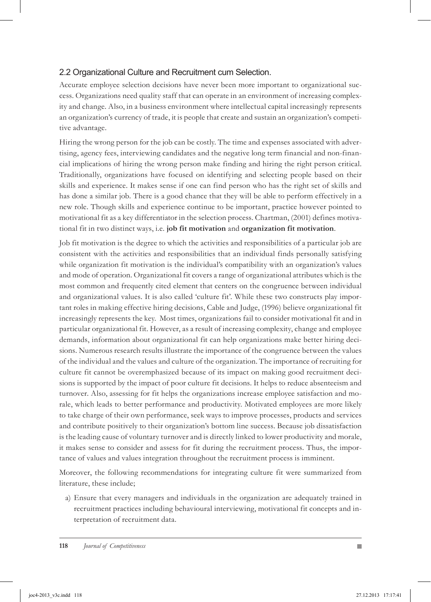## 2.2 Organizational Culture and Recruitment cum Selection.

Accurate employee selection decisions have never been more important to organizational success. Organizations need quality staff that can operate in an environment of increasing complexity and change. Also, in a business environment where intellectual capital increasingly represents an organization's currency of trade, it is people that create and sustain an organization's competitive advantage.

Hiring the wrong person for the job can be costly. The time and expenses associated with advertising, agency fees, interviewing candidates and the negative long term financial and non-financial implications of hiring the wrong person make finding and hiring the right person critical. Traditionally, organizations have focused on identifying and selecting people based on their skills and experience. It makes sense if one can find person who has the right set of skills and has done a similar job. There is a good chance that they will be able to perform effectively in a new role. Though skills and experience continue to be important, practice however pointed to motivational fit as a key differentiator in the selection process. Chartman, (2001) defines motivational fit in two distinct ways, i.e. **job fit motivation** and **organization fit motivation**.

Job fit motivation is the degree to which the activities and responsibilities of a particular job are consistent with the activities and responsibilities that an individual finds personally satisfying while organization fit motivation is the individual's compatibility with an organization's values and mode of operation. Organizational fit covers a range of organizational attributes which is the most common and frequently cited element that centers on the congruence between individual and organizational values. It is also called 'culture fit'. While these two constructs play important roles in making effective hiring decisions, Cable and Judge, (1996) believe organizational fit increasingly represents the key. Most times, organizations fail to consider motivational fit and in particular organizational fit. However, as a result of increasing complexity, change and employee demands, information about organizational fit can help organizations make better hiring decisions. Numerous research results illustrate the importance of the congruence between the values of the individual and the values and culture of the organization. The importance of recruiting for culture fit cannot be overemphasized because of its impact on making good recruitment decisions is supported by the impact of poor culture fit decisions. It helps to reduce absenteeism and turnover. Also, assessing for fit helps the organizations increase employee satisfaction and morale, which leads to better performance and productivity. Motivated employees are more likely to take charge of their own performance, seek ways to improve processes, products and services and contribute positively to their organization's bottom line success. Because job dissatisfaction is the leading cause of voluntary turnover and is directly linked to lower productivity and morale, it makes sense to consider and assess for fit during the recruitment process. Thus, the importance of values and values integration throughout the recruitment process is imminent.

Moreover, the following recommendations for integrating culture fit were summarized from literature, these include;

a) Ensure that every managers and individuals in the organization are adequately trained in recruitment practices including behavioural interviewing, motivational fit concepts and interpretation of recruitment data.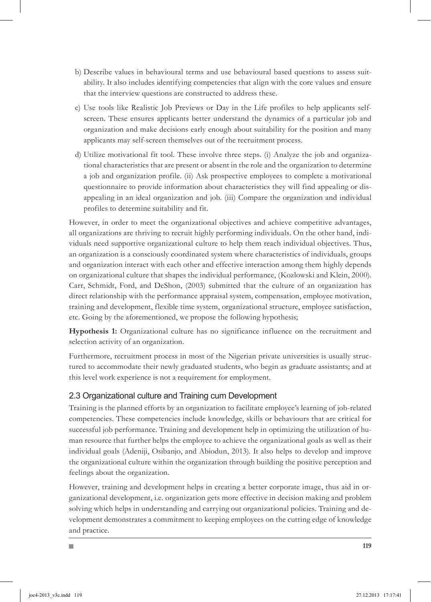- b) Describe values in behavioural terms and use behavioural based questions to assess suitability. It also includes identifying competencies that align with the core values and ensure that the interview questions are constructed to address these.
- c) Use tools like Realistic Job Previews or Day in the Life profiles to help applicants selfscreen. These ensures applicants better understand the dynamics of a particular job and organization and make decisions early enough about suitability for the position and many applicants may self-screen themselves out of the recruitment process.
- Utilize motivational fit tool. These involve three steps. (i) Analyze the job and organiza-d) tional characteristics that are present or absent in the role and the organization to determine a job and organization profile. (ii) Ask prospective employees to complete a motivational questionnaire to provide information about characteristics they will find appealing or disappealing in an ideal organization and job. (iii) Compare the organization and individual profiles to determine suitability and fit.

However, in order to meet the organizational objectives and achieve competitive advantages, all organizations are thriving to recruit highly performing individuals. On the other hand, individuals need supportive organizational culture to help them reach individual objectives. Thus, an organization is a consciously coordinated system where characteristics of individuals, groups and organization interact with each other and effective interaction among them highly depends on organizational culture that shapes the individual performance, (Kozlowski and Klein, 2000). Carr, Schmidt, Ford, and DeShon, (2003) submitted that the culture of an organization has direct relationship with the performance appraisal system, compensation, employee motivation, training and development, flexible time system, organizational structure, employee satisfaction, etc. Going by the aforementioned, we propose the following hypothesis;

**Hypothesis 1:** Organizational culture has no significance influence on the recruitment and selection activity of an organization.

Furthermore, recruitment process in most of the Nigerian private universities is usually structured to accommodate their newly graduated students, who begin as graduate assistants; and at this level work experience is not a requirement for employment.

# 2.3 Organizational culture and Training cum Development

m.

Training is the planned efforts by an organization to facilitate employee's learning of job-related competencies. These competencies include knowledge, skills or behaviours that are critical for successful job performance. Training and development help in optimizing the utilization of human resource that further helps the employee to achieve the organizational goals as well as their individual goals (Adeniji, Osibanjo, and Abiodun, 2013). It also helps to develop and improve the organizational culture within the organization through building the positive perception and feelings about the organization.

However, training and development helps in creating a better corporate image, thus aid in organizational development, i.e. organization gets more effective in decision making and problem solving which helps in understanding and carrying out organizational policies. Training and development demonstrates a commitment to keeping employees on the cutting edge of knowledge and practice.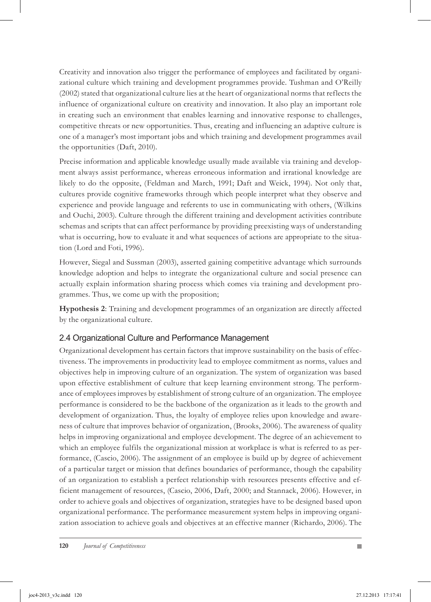Creativity and innovation also trigger the performance of employees and facilitated by organizational culture which training and development programmes provide. Tushman and O'Reilly (2002) stated that organizational culture lies at the heart of organizational norms that reflects the influence of organizational culture on creativity and innovation. It also play an important role in creating such an environment that enables learning and innovative response to challenges, competitive threats or new opportunities. Thus, creating and influencing an adaptive culture is one of a manager's most important jobs and which training and development programmes avail the opportunities (Daft, 2010).

Precise information and applicable knowledge usually made available via training and development always assist performance, whereas erroneous information and irrational knowledge are likely to do the opposite, (Feldman and March, 1991; Daft and Weick, 1994). Not only that, cultures provide cognitive frameworks through which people interpret what they observe and experience and provide language and referents to use in communicating with others, (Wilkins and Ouchi, 2003). Culture through the different training and development activities contribute schemas and scripts that can affect performance by providing preexisting ways of understanding what is occurring, how to evaluate it and what sequences of actions are appropriate to the situation (Lord and Foti, 1996).

However, Siegal and Sussman (2003), asserted gaining competitive advantage which surrounds knowledge adoption and helps to integrate the organizational culture and social presence can actually explain information sharing process which comes via training and development programmes. Thus, we come up with the proposition;

**Hypothesis 2**: Training and development programmes of an organization are directly affected by the organizational culture.

# 2.4 Organizational Culture and Performance Management

Organizational development has certain factors that improve sustainability on the basis of effectiveness. The improvements in productivity lead to employee commitment as norms, values and objectives help in improving culture of an organization. The system of organization was based upon effective establishment of culture that keep learning environment strong. The performance of employees improves by establishment of strong culture of an organization. The employee performance is considered to be the backbone of the organization as it leads to the growth and development of organization. Thus, the loyalty of employee relies upon knowledge and awareness of culture that improves behavior of organization, (Brooks, 2006). The awareness of quality helps in improving organizational and employee development. The degree of an achievement to which an employee fulfils the organizational mission at workplace is what is referred to as performance, (Cascio, 2006). The assignment of an employee is build up by degree of achievement of a particular target or mission that defines boundaries of performance, though the capability of an organization to establish a perfect relationship with resources presents effective and efficient management of resources, (Cascio, 2006, Daft, 2000; and Stannack, 2006). However, in order to achieve goals and objectives of organization, strategies have to be designed based upon organizational performance. The performance measurement system helps in improving organization association to achieve goals and objectives at an effective manner (Richardo, 2006). The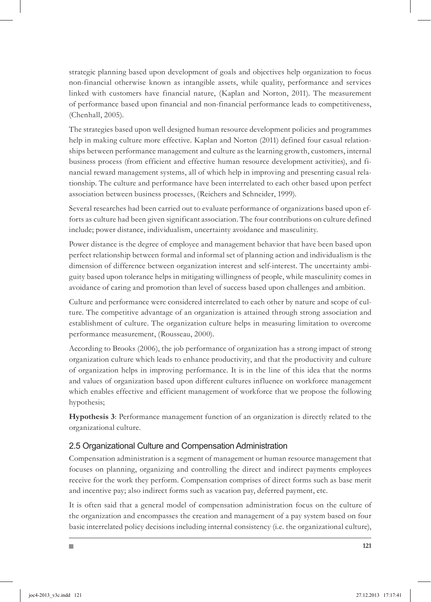strategic planning based upon development of goals and objectives help organization to focus non-financial otherwise known as intangible assets, while quality, performance and services linked with customers have financial nature, (Kaplan and Norton, 2011). The measurement of performance based upon financial and non-financial performance leads to competitiveness, (Chenhall, 2005).

The strategies based upon well designed human resource development policies and programmes help in making culture more effective. Kaplan and Norton (2011) defined four casual relationships between performance management and culture as the learning growth, customers, internal business process (from efficient and effective human resource development activities), and financial reward management systems, all of which help in improving and presenting casual relationship. The culture and performance have been interrelated to each other based upon perfect association between business processes, (Reichers and Schneider, 1999).

Several researches had been carried out to evaluate performance of organizations based upon efforts as culture had been given significant association. The four contributions on culture defined include; power distance, individualism, uncertainty avoidance and masculinity.

Power distance is the degree of employee and management behavior that have been based upon perfect relationship between formal and informal set of planning action and individualism is the dimension of difference between organization interest and self-interest. The uncertainty ambiguity based upon tolerance helps in mitigating willingness of people, while masculinity comes in avoidance of caring and promotion than level of success based upon challenges and ambition.

Culture and performance were considered interrelated to each other by nature and scope of culture. The competitive advantage of an organization is attained through strong association and establishment of culture. The organization culture helps in measuring limitation to overcome performance measurement, (Rousseau, 2000).

According to Brooks (2006), the job performance of organization has a strong impact of strong organization culture which leads to enhance productivity, and that the productivity and culture of organization helps in improving performance. It is in the line of this idea that the norms and values of organization based upon different cultures influence on workforce management which enables effective and efficient management of workforce that we propose the following hypothesis;

**Hypothesis 3**: Performance management function of an organization is directly related to the organizational culture.

# 2.5 Organizational Culture and Compensation Administration

ш

Compensation administration is a segment of management or human resource management that focuses on planning, organizing and controlling the direct and indirect payments employees receive for the work they perform. Compensation comprises of direct forms such as base merit and incentive pay; also indirect forms such as vacation pay, deferred payment, etc.

It is often said that a general model of compensation administration focus on the culture of the organization and encompasses the creation and management of a pay system based on four basic interrelated policy decisions including internal consistency (i.e. the organizational culture),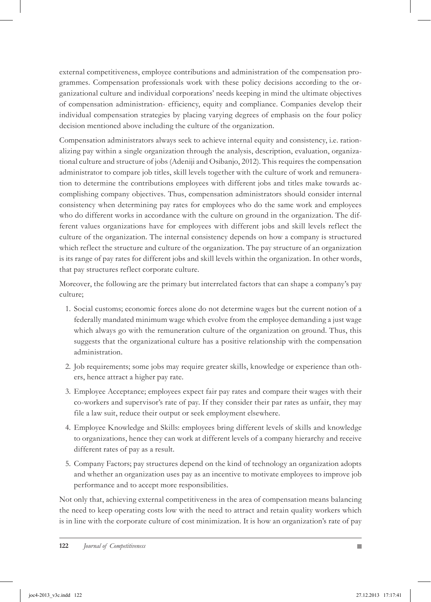external competitiveness, employee contributions and administration of the compensation programmes. Compensation professionals work with these policy decisions according to the organizational culture and individual corporations' needs keeping in mind the ultimate objectives of compensation administration- efficiency, equity and compliance. Companies develop their individual compensation strategies by placing varying degrees of emphasis on the four policy decision mentioned above including the culture of the organization.

Compensation administrators always seek to achieve internal equity and consistency, i.e. rationalizing pay within a single organization through the analysis, description, evaluation, organizational culture and structure of jobs (Adeniji and Osibanjo, 2012). This requires the compensation administrator to compare job titles, skill levels together with the culture of work and remuneration to determine the contributions employees with different jobs and titles make towards accomplishing company objectives. Thus, compensation administrators should consider internal consistency when determining pay rates for employees who do the same work and employees who do different works in accordance with the culture on ground in the organization. The different values organizations have for employees with different jobs and skill levels reflect the culture of the organization. The internal consistency depends on how a company is structured which reflect the structure and culture of the organization. The pay structure of an organization is its range of pay rates for different jobs and skill levels within the organization. In other words, that pay structures reflect corporate culture.

Moreover, the following are the primary but interrelated factors that can shape a company's pay culture;

- 1. Social customs; economic forces alone do not determine wages but the current notion of a federally mandated minimum wage which evolve from the employee demanding a just wage which always go with the remuneration culture of the organization on ground. Thus, this suggests that the organizational culture has a positive relationship with the compensation administration.
- 2. Job requirements; some jobs may require greater skills, knowledge or experience than others, hence attract a higher pay rate.
- Employee Acceptance; employees expect fair pay rates and compare their wages with their 3. co-workers and supervisor's rate of pay. If they consider their par rates as unfair, they may file a law suit, reduce their output or seek employment elsewhere.
- Employee Knowledge and Skills: employees bring different levels of skills and knowledge 4. to organizations, hence they can work at different levels of a company hierarchy and receive different rates of pay as a result.
- 5. Company Factors; pay structures depend on the kind of technology an organization adopts and whether an organization uses pay as an incentive to motivate employees to improve job performance and to accept more responsibilities.

Not only that, achieving external competitiveness in the area of compensation means balancing the need to keep operating costs low with the need to attract and retain quality workers which is in line with the corporate culture of cost minimization. It is how an organization's rate of pay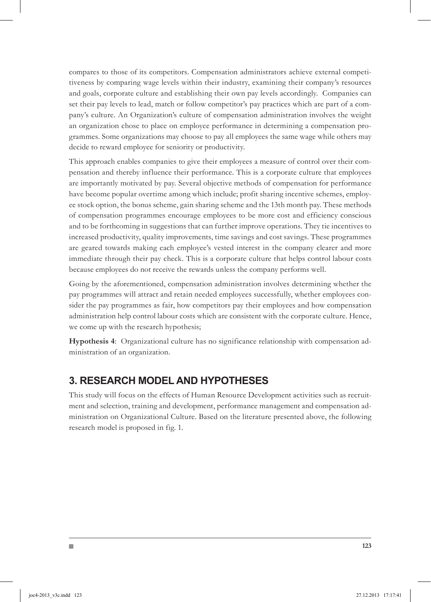compares to those of its competitors. Compensation administrators achieve external competitiveness by comparing wage levels within their industry, examining their company's resources and goals, corporate culture and establishing their own pay levels accordingly. Companies can set their pay levels to lead, match or follow competitor's pay practices which are part of a company's culture. An Organization's culture of compensation administration involves the weight an organization chose to place on employee performance in determining a compensation programmes. Some organizations may choose to pay all employees the same wage while others may decide to reward employee for seniority or productivity.

This approach enables companies to give their employees a measure of control over their compensation and thereby influence their performance. This is a corporate culture that employees are importantly motivated by pay. Several objective methods of compensation for performance have become popular overtime among which include; profit sharing incentive schemes, employee stock option, the bonus scheme, gain sharing scheme and the 13th month pay. These methods of compensation programmes encourage employees to be more cost and efficiency conscious and to be forthcoming in suggestions that can further improve operations. They tie incentives to increased productivity, quality improvements, time savings and cost savings. These programmes are geared towards making each employee's vested interest in the company clearer and more immediate through their pay check. This is a corporate culture that helps control labour costs because employees do not receive the rewards unless the company performs well.

Going by the aforementioned, compensation administration involves determining whether the pay programmes will attract and retain needed employees successfully, whether employees consider the pay programmes as fair, how competitors pay their employees and how compensation administration help control labour costs which are consistent with the corporate culture. Hence, we come up with the research hypothesis;

**Hypothesis 4**: Organizational culture has no significance relationship with compensation administration of an organization.

# **3. RESEARCH MODEL AND HYPOTHESES**

m.

This study will focus on the effects of Human Resource Development activities such as recruitment and selection, training and development, performance management and compensation administration on Organizational Culture. Based on the literature presented above, the following research model is proposed in fig. 1.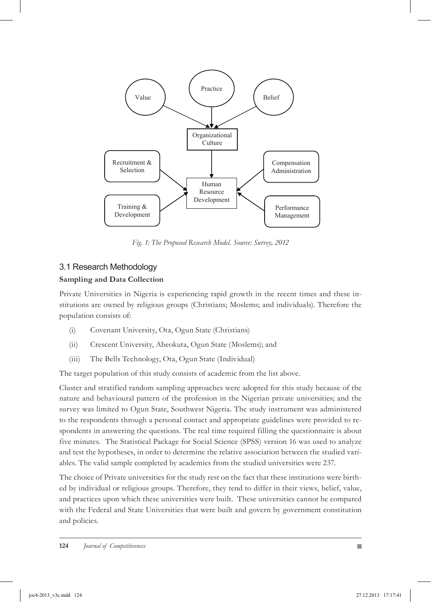

*Fig. 1: The Proposed Research Model. Source: Survey, 2012*

#### 3.1 Research Methodology

#### **Sampling and Data Collection**

Private Universities in Nigeria is experiencing rapid growth in the recent times and these institutions are owned by religious groups (Christians; Moslems; and individuals). Therefore the population consists of:

- (i) Covenant University, Ota, Ogun State (Christians)
- (ii) Crescent University, Abeokuta, Ogun State (Moslems); and
- (iii) The Bells Technology, Ota, Ogun State (Individual)

The target population of this study consists of academic from the list above.

Cluster and stratified random sampling approaches were adopted for this study because of the nature and behavioural pattern of the profession in the Nigerian private universities; and the survey was limited to Ogun State, Southwest Nigeria. The study instrument was administered to the respondents through a personal contact and appropriate guidelines were provided to respondents in answering the questions. The real time required filling the questionnaire is about five minutes. The Statistical Package for Social Science (SPSS) version 16 was used to analyze and test the hypotheses, in order to determine the relative association between the studied variables. The valid sample completed by academics from the studied universities were 237.

The choice of Private universities for the study rest on the fact that these institutions were birthed by individual or religious groups. Therefore, they tend to differ in their views, belief, value, and practices upon which these universities were built. These universities cannot be compared with the Federal and State Universities that were built and govern by government constitution and policies.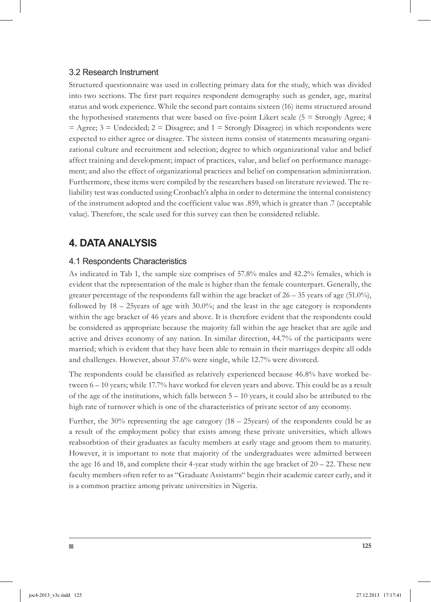### 3.2 Research Instrument

Structured questionnaire was used in collecting primary data for the study, which was divided into two sections. The first part requires respondent demography such as gender, age, marital status and work experience. While the second part contains sixteen (16) items structured around the hypothesised statements that were based on five-point Likert scale (5 = Strongly Agree; 4  $=$  Agree;  $3$  = Undecided;  $2$  = Disagree; and  $1$  = Strongly Disagree) in which respondents were expected to either agree or disagree. The sixteen items consist of statements measuring organizational culture and recruitment and selection; degree to which organizational value and belief affect training and development; impact of practices, value, and belief on performance management; and also the effect of organizational practices and belief on compensation administration. Furthermore, these items were compiled by the researchers based on literature reviewed. The reliability test was conducted using Cronbach's alpha in order to determine the internal consistency of the instrument adopted and the coefficient value was .859, which is greater than .7 (acceptable value). Therefore, the scale used for this survey can then be considered reliable.

# **4. DATA ANALYSIS**

П

### 4.1 Respondents Characteristics

As indicated in Tab 1, the sample size comprises of 57.8% males and 42.2% females, which is evident that the representation of the male is higher than the female counterpart. Generally, the greater percentage of the respondents fall within the age bracket of  $26 - 35$  years of age (51.0%), followed by 18 – 25years of age with 30.0%; and the least in the age category is respondents within the age bracket of 46 years and above. It is therefore evident that the respondents could be considered as appropriate because the majority fall within the age bracket that are agile and active and drives economy of any nation. In similar direction, 44.7% of the participants were married; which is evident that they have been able to remain in their marriages despite all odds and challenges. However, about 37.6% were single, while 12.7% were divorced.

The respondents could be classified as relatively experienced because 46.8% have worked between 6 – 10 years; while 17.7% have worked for eleven years and above. This could be as a result of the age of the institutions, which falls between 5 – 10 years, it could also be attributed to the high rate of turnover which is one of the characteristics of private sector of any economy.

Further, the 30% representing the age category (18 – 25years) of the respondents could be as a result of the employment policy that exists among these private universities, which allows reabsorbtion of their graduates as faculty members at early stage and groom them to maturity. However, it is important to note that majority of the undergraduates were admitted between the age 16 and 18, and complete their 4-year study within the age bracket of  $20 - 22$ . These new faculty members often refer to as "Graduate Assistants" begin their academic career early, and it is a common practice among private universities in Nigeria.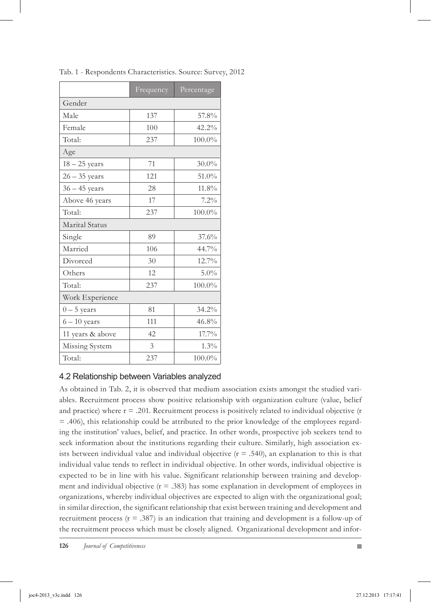|                       | Frequency | Percentage |  |  |  |  |
|-----------------------|-----------|------------|--|--|--|--|
| Gender                |           |            |  |  |  |  |
| Male                  | 137       | 57.8%      |  |  |  |  |
| Female                | 100       | 42.2%      |  |  |  |  |
| Total:                | 237       | 100.0%     |  |  |  |  |
| Age                   |           |            |  |  |  |  |
| $18 - 25$ years       | 71        | $30.0\%$   |  |  |  |  |
| $26 - 35$ years       | 121       | 51.0%      |  |  |  |  |
| $36 - 45$ years       | 28        | 11.8%      |  |  |  |  |
| Above 46 years        | 17        | 7.2%       |  |  |  |  |
| Total:                | 237       | $100.0\%$  |  |  |  |  |
| <b>Marital Status</b> |           |            |  |  |  |  |
| Single                | 89        | 37.6%      |  |  |  |  |
| Married               | 106       | 44.7%      |  |  |  |  |
| Divorced              | 30        | 12.7%      |  |  |  |  |
| Others                | 12        | $5.0\%$    |  |  |  |  |
| Total:                | 237       | $100.0\%$  |  |  |  |  |
| Work Experience       |           |            |  |  |  |  |
| $0-5$ years           | 81        | 34.2%      |  |  |  |  |
| $6 - 10$ years        | 111       | 46.8%      |  |  |  |  |
| 11 years & above      | 42        | 17.7%      |  |  |  |  |
| Missing System        | 3         | 1.3%       |  |  |  |  |
| Total:                | 237       | 100.0%     |  |  |  |  |

Tab. 1 - Respondents Characteristics. Source: Survey, 2012

### 4.2 Relationship between Variables analyzed

As obtained in Tab. 2, it is observed that medium association exists amongst the studied variables. Recruitment process show positive relationship with organization culture (value, belief and practice) where  $r = .201$ . Recruitment process is positively related to individual objective (r  $=$  .406), this relationship could be attributed to the prior knowledge of the employees regarding the institution' values, belief, and practice. In other words, prospective job seekers tend to seek information about the institutions regarding their culture. Similarly, high association exists between individual value and individual objective  $(r = .540)$ , an explanation to this is that individual value tends to reflect in individual objective. In other words, individual objective is expected to be in line with his value. Significant relationship between training and development and individual objective  $(r = .383)$  has some explanation in development of employees in organizations, whereby individual objectives are expected to align with the organizational goal; in similar direction, the significant relationship that exist between training and development and recruitment process  $(r = .387)$  is an indication that training and development is a follow-up of the recruitment process which must be closely aligned. Organizational development and infor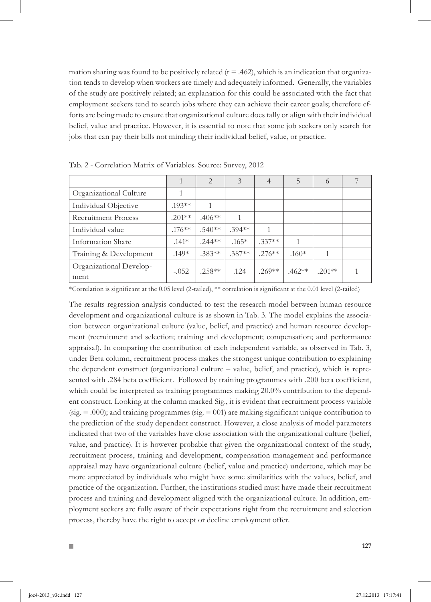mation sharing was found to be positively related  $(r = .462)$ , which is an indication that organization tends to develop when workers are timely and adequately informed. Generally, the variables of the study are positively related; an explanation for this could be associated with the fact that employment seekers tend to search jobs where they can achieve their career goals; therefore efforts are being made to ensure that organizational culture does tally or align with their individual belief, value and practice. However, it is essential to note that some job seekers only search for jobs that can pay their bills not minding their individual belief, value, or practice.

|                                 |           | $\overline{2}$ | 3        | 4         | 5        | 6        |  |
|---------------------------------|-----------|----------------|----------|-----------|----------|----------|--|
| Organizational Culture          |           |                |          |           |          |          |  |
| Individual Objective            | $.193**$  |                |          |           |          |          |  |
| Recruitment Process             | $201**$   | $.406**$       | 1        |           |          |          |  |
| Individual value                | $.176***$ | $.540**$       | $394**$  | 1         |          |          |  |
| Information Share               | $.141*$   | $.244**$       | $.165*$  | $.337**$  | 1        |          |  |
| Training & Development          | $.149*$   | $.383**$       | $.387**$ | $.276***$ | $.160*$  |          |  |
| Organizational Develop-<br>ment | $-.052$   | $.258**$       | .124     | $.269**$  | $.462**$ | $.201**$ |  |

Tab. 2 - Correlation Matrix of Variables. Source: Survey, 2012

m.

\*Correlation is significant at the 0.05 level (2-tailed), \*\* correlation is significant at the 0.01 level (2-tailed)

The results regression analysis conducted to test the research model between human resource development and organizational culture is as shown in Tab. 3. The model explains the association between organizational culture (value, belief, and practice) and human resource development (recruitment and selection; training and development; compensation; and performance appraisal). In comparing the contribution of each independent variable, as observed in Tab. 3, under Beta column, recruitment process makes the strongest unique contribution to explaining the dependent construct (organizational culture – value, belief, and practice), which is represented with .284 beta coefficient. Followed by training programmes with .200 beta coefficient, which could be interpreted as training programmes making 20.0% contribution to the dependent construct. Looking at the column marked Sig., it is evident that recruitment process variable  $(sig. = 0.00)$ ; and training programmes  $(sig. = 001)$  are making significant unique contribution to the prediction of the study dependent construct. However, a close analysis of model parameters indicated that two of the variables have close association with the organizational culture (belief, value, and practice). It is however probable that given the organizational context of the study, recruitment process, training and development, compensation management and performance appraisal may have organizational culture (belief, value and practice) undertone, which may be more appreciated by individuals who might have some similarities with the values, belief, and practice of the organization. Further, the institutions studied must have made their recruitment process and training and development aligned with the organizational culture. In addition, employment seekers are fully aware of their expectations right from the recruitment and selection process, thereby have the right to accept or decline employment offer.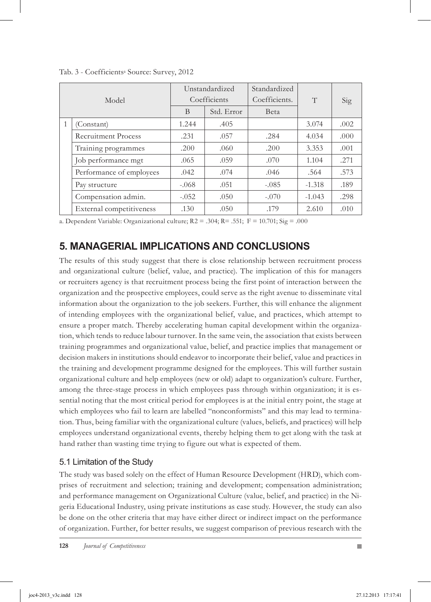| Model |                            | Unstandardized<br>Coefficients |            | Standardized<br>Coefficients. | T        | Sig  |
|-------|----------------------------|--------------------------------|------------|-------------------------------|----------|------|
|       |                            | B                              | Std. Error | <b>B</b> eta                  |          |      |
|       | (Constant)                 | 1.244                          | .405       |                               | 3.074    | .002 |
|       | <b>Recruitment Process</b> | .231                           | .057       | .284                          | 4.034    | .000 |
|       | Training programmes        | .200                           | .060       | .200                          | 3.353    | .001 |
|       | Job performance mgt        | .065                           | .059       | .070                          | 1.104    | .271 |
|       | Performance of employees   | .042                           | .074       | .046                          | .564     | .573 |
|       | Pay structure              | $-.068$                        | .051       | $-.085$                       | $-1.318$ | .189 |
|       | Compensation admin.        | $-.052$                        | .050       | $-.070$                       | $-1.043$ | .298 |
|       | External competitiveness   | .130                           | .050       | .179                          | 2.610    | .010 |

Tab. 3 - Coefficientsa Source: Survey, 2012

a. Dependent Variable: Organizational culture; R2 = .304; R= .551; F = 10.701; Sig = .000

# **5. MANAGERIAL IMPLICATIONS AND CONCLUSIONS**

The results of this study suggest that there is close relationship between recruitment process and organizational culture (belief, value, and practice). The implication of this for managers or recruiters agency is that recruitment process being the first point of interaction between the organization and the prospective employees, could serve as the right avenue to disseminate vital information about the organization to the job seekers. Further, this will enhance the alignment of intending employees with the organizational belief, value, and practices, which attempt to ensure a proper match. Thereby accelerating human capital development within the organization, which tends to reduce labour turnover. In the same vein, the association that exists between training programmes and organizational value, belief, and practice implies that management or decision makers in institutions should endeavor to incorporate their belief, value and practices in the training and development programme designed for the employees. This will further sustain organizational culture and help employees (new or old) adapt to organization's culture. Further, among the three-stage process in which employees pass through within organization; it is essential noting that the most critical period for employees is at the initial entry point, the stage at which employees who fail to learn are labelled "nonconformists" and this may lead to termination. Thus, being familiar with the organizational culture (values, beliefs, and practices) will help employees understand organizational events, thereby helping them to get along with the task at hand rather than wasting time trying to figure out what is expected of them.

### 5.1 Limitation of the Study

The study was based solely on the effect of Human Resource Development (HRD), which comprises of recruitment and selection; training and development; compensation administration; and performance management on Organizational Culture (value, belief, and practice) in the Nigeria Educational Industry, using private institutions as case study. However, the study can also be done on the other criteria that may have either direct or indirect impact on the performance of organization. Further, for better results, we suggest comparison of previous research with the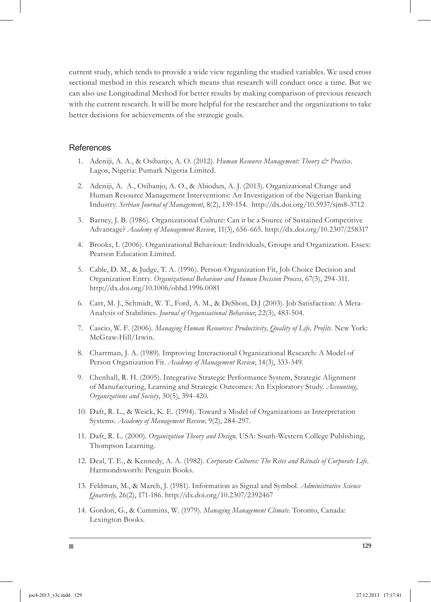current study, which tends to provide a wide view regarding the studied variables. We used cross sectional method in this research which means that research will conduct once a time. But we can also use Longitudinal Method for better results by making comparison of previous research with the current research. It will be more helpful for the researcher and the organizations to take better decisions for achievements of the strategic goals.

#### **References**

П

- Adeniji, A. A., & Osibanjo, A. O. (2012). *Human Resource Management: Theory & Practice*. 1. Lagos, Nigeria: Pumark Nigeria Limited.
- 2. Adeniji, A. A., Osibanjo, A. O., & Abiodun, A. J. (2013). Organizational Change and Human Resource Management Interventions: An Investigation of the Nigerian Banking Industry. *Serbian Journal of Management*, 8(2), 139-154. http://dx.doi.org/10.5937/sjm8-3712
- Barney, J. B. (1986). Organizational Culture: Can it be a Source of Sustained Competitive 3. Advantage? *Academy of Management Review*, 11(3), 656-665. http://dx.doi.org/10.2307/258317
- 4. Brooks, I. (2006). Organizational Behaviour: Individuals, Groups and Organization. Essex: Pearson Education Limited.
- Cable, D. M., & Judge, T. A. (1996). Person-Organization Fit, Job Choice Decision and 5. Organization Entry. *Organizational Behaviour and Human Decision Process,* 67(3), 294-311. http://dx.doi.org/10.1006/obhd.1996.0081
- 6. Carr, M. J., Schmidt, W. T., Ford, A. M., & DeShon, D.J (2003). Job Satisfaction: A Meta-Analysis of Stabilities. *Journal of Organisational Behaviour*, 22(3), 483-504.
- 7. Cascio, W. F. (2006). *Managing Human Resources: Productivity, Quality of Life, Profits*. New York: McGraw-Hill/Irwin.
- Chartman, J. A. (1989). Improving Interactional Organizational Research: A Model of 8. Person Organization Fit. *Academy of Management Review*, 14(3), 333-349.
- Chenhall, R. H. (2005). Integrative Strategic Performance System, Strategic Alignment 9. of Manufacturing, Learning and Strategic Outcomes: An Exploratory Study. *Accounting, Organizations and Society*, 30(5), 394-420.
- 10. Daft, R. L., & Weick, K. E. (1994). Toward a Model of Organizations as Interpretation Systems. *Academy of Management Review,* 9(2), 284-297.
- 11. Daft, R. L. (2000). Organization Theory and Design. USA: South-Western College Publishing, Thompson Learning.
- 12. Deal, T. E., & Kennedy, A. A. (1982). *Corporate Cultures: The Rites and Rituals of Corporate Life.* Harmondsworth: Penguin Books.
- Feldman, M., & March, J. (1981). Information as Signal and Symbol. *Administrative Science*  13. *Quarterly,* 26(2), 171-186. http://dx.doi.org/10.2307/2392467
- 14. Gordon, G., & Cummins, W. (1979). Managing Management Climate. Toronto, Canada: Lexington Books.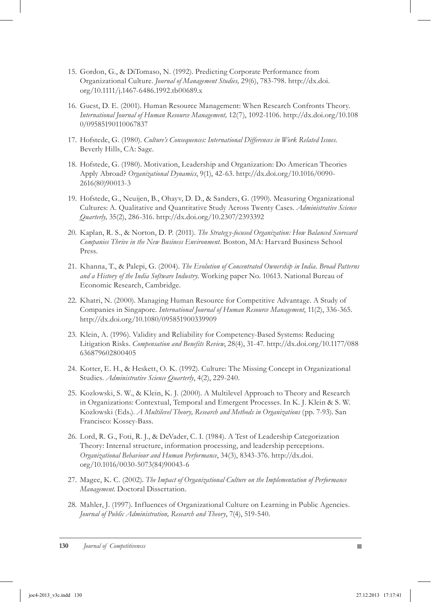- 15. Gordon, G., & DiTomaso, N. (1992). Predicting Corporate Performance from Organizational Culture. *Journal of Management Studies,* 29(6), 783-798. http://dx.doi. org/10.1111/j.1467-6486.1992.tb00689.x
- 16. Guest, D. E. (2001). Human Resource Management: When Research Confronts Theory. *International Journal of Human Resource Management,* 12(7), 1092-1106. http://dx.doi.org/10.108 0/09585190110067837
- 17. Hofstede, G. (1980). Culture's Consequences: International Differences in Work Related Issues. Beverly Hills, CA: Sage.
- 18. Hofstede, G. (1980). Motivation, Leadership and Organization: Do American Theories Apply Abroad? *Organizational Dynamics*, 9(1), 42-63. http://dx.doi.org/10.1016/0090- 2616(80)90013-3
- 19. Hofstede, G., Neuijen, B., Ohayv, D. D., & Sanders, G. (1990). Measuring Organizational Cultures: A. Qualitative and Quantitative Study Across Twenty Cases. *Administrative Science Quarterly,* 35(2), 286-316. http://dx.doi.org/10.2307/2393392
- 20. Kaplan, R. S., & Norton, D. P. (2011). *The Strategy-focused Organization: How Balanced Scorecard Companies Thrive in the New Business Environment.* Boston, MA: Harvard Business School Press.
- 21. Khanna, T., & Palepi, G. (2004). The Evolution of Concentrated Ownership in India. Broad Patterns *and a History of the India Software Industry.* Working paper No. 10613. National Bureau of Economic Research, Cambridge.
- 22. Khatri, N. (2000). Managing Human Resource for Competitive Advantage. A Study of Companies in Singapore. *International Journal of Human Resource Management*, 11(2), 336-365. http://dx.doi.org/10.1080/095851900339909
- 23. Klein, A. (1996). Validity and Reliability for Competency-Based Systems: Reducing Litigation Risks. *Compensation and Benefits Review*, 28(4), 31-47. http://dx.doi.org/10.1177/088 636879602800405
- 24. Kotter, E. H., & Heskett, O. K. (1992). Culture: The Missing Concept in Organizational Studies. *Administrative Science Quarterly*, 4(2), 229-240.
- 25. Kozlowski, S. W., & Klein, K. J. (2000). A Multilevel Approach to Theory and Research in Organizations: Contextual, Temporal and Emergent Processes. In K. J. Klein & S. W. Kozlowski (Eds.). *A Multilevel Theory, Research and Methods in Organizations* (pp. 7-93). San Francisco: Kossey-Bass.
- 26. Lord, R. G., Foti, R. J., & DeVader, C. I. (1984). A Test of Leadership Categorization Theory: Internal structure, information processing, and leadership perceptions. *Organizational Behaviour and Human Performance*, 34(3), 8343-376. http://dx.doi. org/10.1016/0030-5073(84)90043-6
- 27. Magee, K. C. (2002). The Impact of Organizational Culture on the Implementation of Performance *Management*. Doctoral Dissertation.
- 28. Mahler, J. (1997). Influences of Organizational Culture on Learning in Public Agencies. *Journal of Public Administration, Research and Theory*, 7(4), 519-540.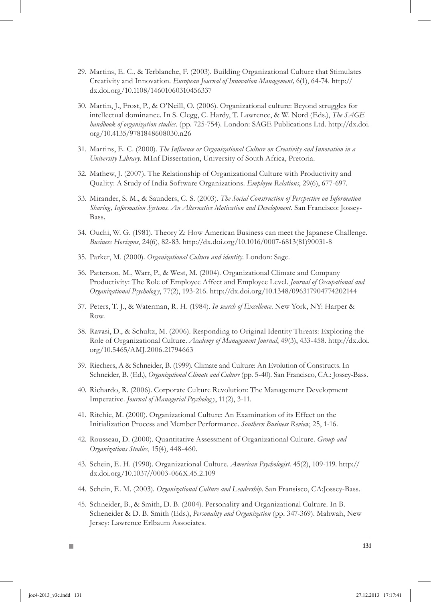- 29. Martins, E. C., & Terblanche, F. (2003). Building Organizational Culture that Stimulates Creativity and Innovation. *European Journal of Innovation Management,* 6(1), 64-74. http:// dx.doi.org/10.1108/14601060310456337
- 30. Martin, J., Frost, P., & O'Neill, O. (2006). Organizational culture: Beyond struggles for intellectual dominance. In S. Clegg, C. Hardy, T. Lawrence, & W. Nord (Eds.), *The SAGE handbook of organization studies*. (pp. 725-754). London: SAGE Publications Ltd. http://dx.doi. org/10.4135/9781848608030.n26
- Martins, E. C. (2000). *The Influence or Organizational Culture on Creativity and Innovation in a*  31. *University Library*. MInf Dissertation, University of South Africa, Pretoria.
- 32. Mathew, J. (2007). The Relationship of Organizational Culture with Productivity and Quality: A Study of India Software Organizations. *Employee Relations*, 29(6), 677-697.
- 33. Mirander, S. M., & Saunders, C. S. (2003). *The Social Construction of Perspective on Information Sharing, Information Systems. An Alternative Motivation and Development.* San Francisco: Jossey-Bass.
- 34. Ouchi, W. G. (1981). Theory Z: How American Business can meet the Japanese Challenge. *Business Horizons*, 24(6), 82-83. http://dx.doi.org/10.1016/0007-6813(81)90031-8
- 35. Parker, M. (2000). Organizational Culture and identity. London: Sage.
- 36. Patterson, M., Warr, P., & West, M. (2004). Organizational Climate and Company Productivity: The Role of Employee Affect and Employee Level. *Journal of Occupational and Organizational Psycholog y*, 77(2), 193-216. http://dx.doi.org/10.1348/096317904774202144
- 37. Peters, T. J., & Waterman, R. H. (1984). *In search of Excellence*. New York, NY: Harper & Row.
- 38. Ravasi, D., & Schultz, M. (2006). Responding to Original Identity Threats: Exploring the Role of Organizational Culture. *Academy of Management Journal*, 49(3), 433-458. http://dx.doi. org/10.5465/AMJ.2006.21794663
- 39. Riechers, A & Schneider, B. (1999). Climate and Culture: An Evolution of Constructs. In Schneider, B. (Ed.), *Organizational Climate and Culture* (pp. 5-40). San Francisco, CA.: Jossey-Bass.
- 40. Richardo, R. (2006). Corporate Culture Revolution: The Management Development Imperative. *Journal of Managerial Psycholog y*, 11(2), 3-11.
- 41. Ritchie, M. (2000). Organizational Culture: An Examination of its Effect on the Initialization Process and Member Performance. *Southern Business Review*, 25, 1-16.
- 42. Rousseau, D. (2000). Quantitative Assessment of Organizational Culture. Group and *Organizations Studies*, 15(4), 448-460.
- 43. Schein, E. H. (1990). Organizational Culture. American Psychologist. 45(2), 109-119. http:// dx.doi.org/10.1037//0003-066X.45.2.109
- 44. Schein, E. M. (2003). Organizational Culture and Leadership. San Fransisco, CA:Jossey-Bass.
- 45. Schneider, B., & Smith, D. B. (2004). Personality and Organizational Culture. In B. Scheneider & D. B. Smith (Eds.), *Personality and Organization* (pp. 347-369). Mahwah, New Jersey: Lawrence Erlbaum Associates.

П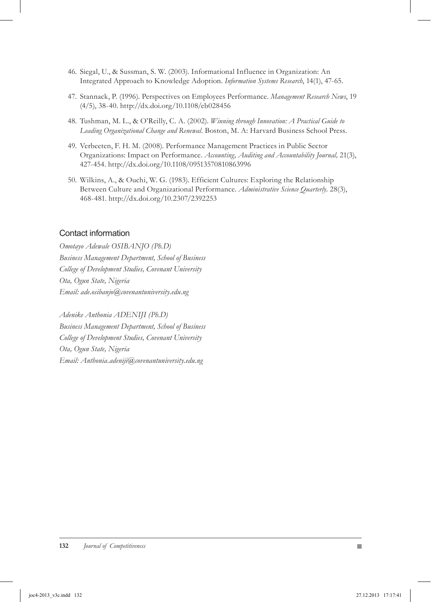- 46. Siegal, U., & Sussman, S. W. (2003). Informational Influence in Organization: An Integrated Approach to Knowledge Adoption. *Information Systems Research*, 14(1), 47-65.
- 47. Stannack, P. (1996). Perspectives on Employees Performance. Management Research News, 19 (4/5), 38-40. http://dx.doi.org/10.1108/eb028456
- Tushman, M. L., & O'Reilly, C. A. (2002). *Winning through Innovation: A Practical Guide to*  48. *Leading Organizational Change and Renewal.* Boston, M. A: Harvard Business School Press.
- 49. Verbeeten, F. H. M. (2008). Performance Management Practices in Public Sector Organizations: Impact on Performance. *Accounting, Auditing and Accountability Journal,* 21(3), 427-454. http://dx.doi.org/10.1108/09513570810863996
- Wilkins, A., & Ouchi, W. G. (1983). Efficient Cultures: Exploring the Relationship 50. Between Culture and Organizational Performance. *Administrative Science Quarterly.* 28(3), 468-481. http://dx.doi.org/10.2307/2392253

#### Contact information

*Omotayo Adewale OSIBANJO (Ph.D) Business Management Department, School of Business College of Development Studies, Covenant University Ota, Ogun State, Nigeria Email: ade.osibanjo@covenantuniversity.edu.ng* 

*Adenike Anthonia ADENIJI (Ph.D) Business Management Department, School of Business College of Development Studies, Covenant University Ota, Ogun State, Nigeria Email: Anthonia.adeniji@covenantuniversity.edu.ng*